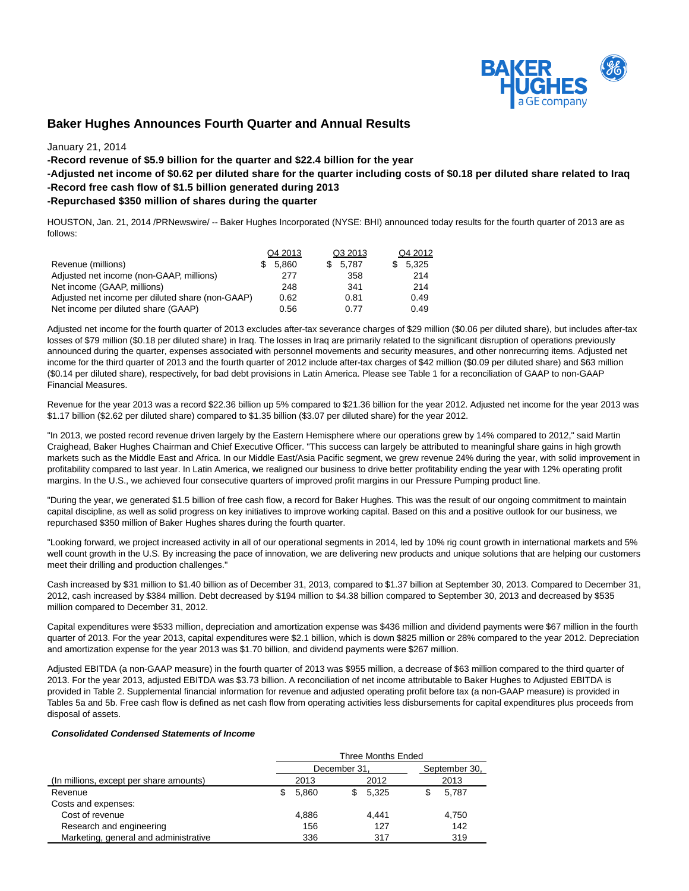

# **Baker Hughes Announces Fourth Quarter and Annual Results**

January 21, 2014

**-Record revenue of \$5.9 billion for the quarter and \$22.4 billion for the year**

**-Adjusted net income of \$0.62 per diluted share for the quarter including costs of \$0.18 per diluted share related to Iraq -Record free cash flow of \$1.5 billion generated during 2013**

## **-Repurchased \$350 million of shares during the quarter**

HOUSTON, Jan. 21, 2014 /PRNewswire/ -- Baker Hughes Incorporated (NYSE: BHI) announced today results for the fourth quarter of 2013 are as follows:

|                                                  | Q4 2013 | Q3 2013 | Q4 2012 |
|--------------------------------------------------|---------|---------|---------|
| Revenue (millions)                               | 5.860   | 5.787   | 5.325   |
| Adjusted net income (non-GAAP, millions)         | 277     | 358     | 214     |
| Net income (GAAP, millions)                      | 248     | 341     | 214     |
| Adjusted net income per diluted share (non-GAAP) | 0.62    | 0.81    | 0.49    |
| Net income per diluted share (GAAP)              | 0.56    | 0.77    | 0.49    |

Adjusted net income for the fourth quarter of 2013 excludes after-tax severance charges of \$29 million (\$0.06 per diluted share), but includes after-tax losses of \$79 million (\$0.18 per diluted share) in Iraq. The losses in Iraq are primarily related to the significant disruption of operations previously announced during the quarter, expenses associated with personnel movements and security measures, and other nonrecurring items. Adjusted net income for the third quarter of 2013 and the fourth quarter of 2012 include after-tax charges of \$42 million (\$0.09 per diluted share) and \$63 million (\$0.14 per diluted share), respectively, for bad debt provisions in Latin America. Please see Table 1 for a reconciliation of GAAP to non-GAAP Financial Measures.

Revenue for the year 2013 was a record \$22.36 billion up 5% compared to \$21.36 billion for the year 2012. Adjusted net income for the year 2013 was \$1.17 billion (\$2.62 per diluted share) compared to \$1.35 billion (\$3.07 per diluted share) for the year 2012.

"In 2013, we posted record revenue driven largely by the Eastern Hemisphere where our operations grew by 14% compared to 2012," said Martin Craighead, Baker Hughes Chairman and Chief Executive Officer. "This success can largely be attributed to meaningful share gains in high growth markets such as the Middle East and Africa. In our Middle East/Asia Pacific segment, we grew revenue 24% during the year, with solid improvement in profitability compared to last year. In Latin America, we realigned our business to drive better profitability ending the year with 12% operating profit margins. In the U.S., we achieved four consecutive quarters of improved profit margins in our Pressure Pumping product line.

"During the year, we generated \$1.5 billion of free cash flow, a record for Baker Hughes. This was the result of our ongoing commitment to maintain capital discipline, as well as solid progress on key initiatives to improve working capital. Based on this and a positive outlook for our business, we repurchased \$350 million of Baker Hughes shares during the fourth quarter.

"Looking forward, we project increased activity in all of our operational segments in 2014, led by 10% rig count growth in international markets and 5% well count growth in the U.S. By increasing the pace of innovation, we are delivering new products and unique solutions that are helping our customers meet their drilling and production challenges."

Cash increased by \$31 million to \$1.40 billion as of December 31, 2013, compared to \$1.37 billion at September 30, 2013. Compared to December 31, 2012, cash increased by \$384 million. Debt decreased by \$194 million to \$4.38 billion compared to September 30, 2013 and decreased by \$535 million compared to December 31, 2012.

Capital expenditures were \$533 million, depreciation and amortization expense was \$436 million and dividend payments were \$67 million in the fourth quarter of 2013. For the year 2013, capital expenditures were \$2.1 billion, which is down \$825 million or 28% compared to the year 2012. Depreciation and amortization expense for the year 2013 was \$1.70 billion, and dividend payments were \$267 million.

Adjusted EBITDA (a non-GAAP measure) in the fourth quarter of 2013 was \$955 million, a decrease of \$63 million compared to the third quarter of 2013. For the year 2013, adjusted EBITDA was \$3.73 billion. A reconciliation of net income attributable to Baker Hughes to Adjusted EBITDA is provided in Table 2. Supplemental financial information for revenue and adjusted operating profit before tax (a non-GAAP measure) is provided in Tables 5a and 5b. Free cash flow is defined as net cash flow from operating activities less disbursements for capital expenditures plus proceeds from disposal of assets.

### **Consolidated Condensed Statements of Income**

|                                         | <b>Three Months Ended</b> |       |  |       |  |               |  |  |  |
|-----------------------------------------|---------------------------|-------|--|-------|--|---------------|--|--|--|
|                                         | December 31,              |       |  |       |  | September 30, |  |  |  |
| (In millions, except per share amounts) |                           | 2013  |  | 2012  |  | 2013          |  |  |  |
| Revenue                                 |                           | 5.860 |  | 5.325 |  | 5.787         |  |  |  |
| Costs and expenses:                     |                           |       |  |       |  |               |  |  |  |
| Cost of revenue                         |                           | 4.886 |  | 4.441 |  | 4,750         |  |  |  |
| Research and engineering                |                           | 156   |  | 127   |  | 142           |  |  |  |
| Marketing, general and administrative   |                           | 336   |  | 317   |  | 319           |  |  |  |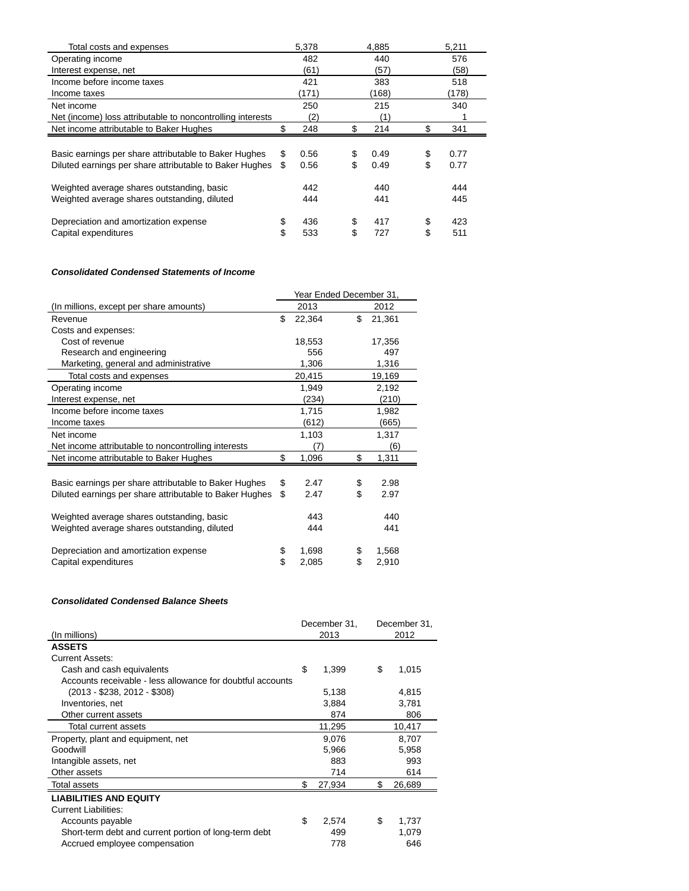| Total costs and expenses                                   |     | 5,378 | 4.885      |    | 5,211 |  |
|------------------------------------------------------------|-----|-------|------------|----|-------|--|
| Operating income                                           |     | 482   | 440        |    | 576   |  |
| Interest expense, net                                      |     | (61)  | (57)       |    | (58)  |  |
| Income before income taxes                                 |     | 421   | 383        |    | 518   |  |
| Income taxes                                               |     | (171) | (168)      |    | (178) |  |
| Net income                                                 |     | 250   | 215        |    | 340   |  |
| Net (income) loss attributable to noncontrolling interests |     | (2)   | (1)        |    |       |  |
| Net income attributable to Baker Hughes                    | \$. | 248   | \$<br>214  | S  | 341   |  |
|                                                            |     |       |            |    |       |  |
| Basic earnings per share attributable to Baker Hughes      | S   | 0.56  | \$<br>0.49 | \$ | 0.77  |  |
| Diluted earnings per share attributable to Baker Hughes    | \$. | 0.56  | \$<br>0.49 | \$ | 0.77  |  |
| Weighted average shares outstanding, basic                 |     | 442   | 440        |    | 444   |  |
| Weighted average shares outstanding, diluted               |     | 444   | 441        |    | 445   |  |
| Depreciation and amortization expense                      | \$  | 436   | \$<br>417  | \$ | 423   |  |
| Capital expenditures                                       | \$  | 533   | \$<br>727  | \$ | 511   |  |

## **Consolidated Condensed Statements of Income**

|                                                         |     | Year Ended December 31, |    |        |  |
|---------------------------------------------------------|-----|-------------------------|----|--------|--|
| (In millions, except per share amounts)                 |     | 2013                    |    | 2012   |  |
| Revenue                                                 | \$  | 22,364                  | \$ | 21,361 |  |
| Costs and expenses:                                     |     |                         |    |        |  |
| Cost of revenue                                         |     | 18,553                  |    | 17,356 |  |
| Research and engineering                                |     | 556                     |    | 497    |  |
| Marketing, general and administrative                   |     | 1,306                   |    | 1,316  |  |
| Total costs and expenses                                |     | 20,415                  |    | 19,169 |  |
| Operating income                                        |     | 1,949                   |    | 2,192  |  |
| Interest expense, net                                   |     | (234)                   |    | (210)  |  |
| Income before income taxes                              |     | 1,715                   |    | 1,982  |  |
| Income taxes                                            |     | (612)                   |    | (665)  |  |
| Net income                                              |     | 1,103                   |    | 1,317  |  |
| Net income attributable to noncontrolling interests     |     | (7)                     |    | (6)    |  |
| Net income attributable to Baker Hughes                 | \$  | 1,096                   | \$ | 1,311  |  |
|                                                         |     |                         |    |        |  |
| Basic earnings per share attributable to Baker Hughes   | \$  | 2.47                    | \$ | 2.98   |  |
| Diluted earnings per share attributable to Baker Hughes | \$  | 2.47                    | \$ | 2.97   |  |
|                                                         |     |                         |    |        |  |
| Weighted average shares outstanding, basic              |     | 443                     |    | 440    |  |
| Weighted average shares outstanding, diluted            |     | 444                     |    | 441    |  |
|                                                         |     |                         |    |        |  |
| Depreciation and amortization expense                   | \$  | 1,698                   | \$ | 1,568  |  |
| Capital expenditures                                    | \$. | 2,085                   |    | 2,910  |  |

# **Consolidated Condensed Balance Sheets**

|                                                            | December 31, | December 31, |  |
|------------------------------------------------------------|--------------|--------------|--|
| (In millions)                                              | 2013         | 2012         |  |
| <b>ASSETS</b>                                              |              |              |  |
| <b>Current Assets:</b>                                     |              |              |  |
| Cash and cash equivalents                                  | \$<br>1,399  | \$<br>1,015  |  |
| Accounts receivable - less allowance for doubtful accounts |              |              |  |
| (2013 - \$238, 2012 - \$308)                               | 5,138        | 4,815        |  |
| Inventories, net                                           | 3,884        | 3,781        |  |
| Other current assets                                       | 874          | 806          |  |
| Total current assets                                       | 11,295       | 10,417       |  |
| Property, plant and equipment, net                         | 9,076        | 8,707        |  |
| Goodwill                                                   | 5,966        | 5,958        |  |
| Intangible assets, net                                     | 883          | 993          |  |
| Other assets                                               | 714          | 614          |  |
| Total assets                                               | \$<br>27,934 | \$<br>26,689 |  |
| <b>LIABILITIES AND EQUITY</b>                              |              |              |  |
| <b>Current Liabilities:</b>                                |              |              |  |
| Accounts payable                                           | \$<br>2,574  | \$<br>1,737  |  |
| Short-term debt and current portion of long-term debt      | 499          | 1,079        |  |
| Accrued employee compensation                              | 778          | 646          |  |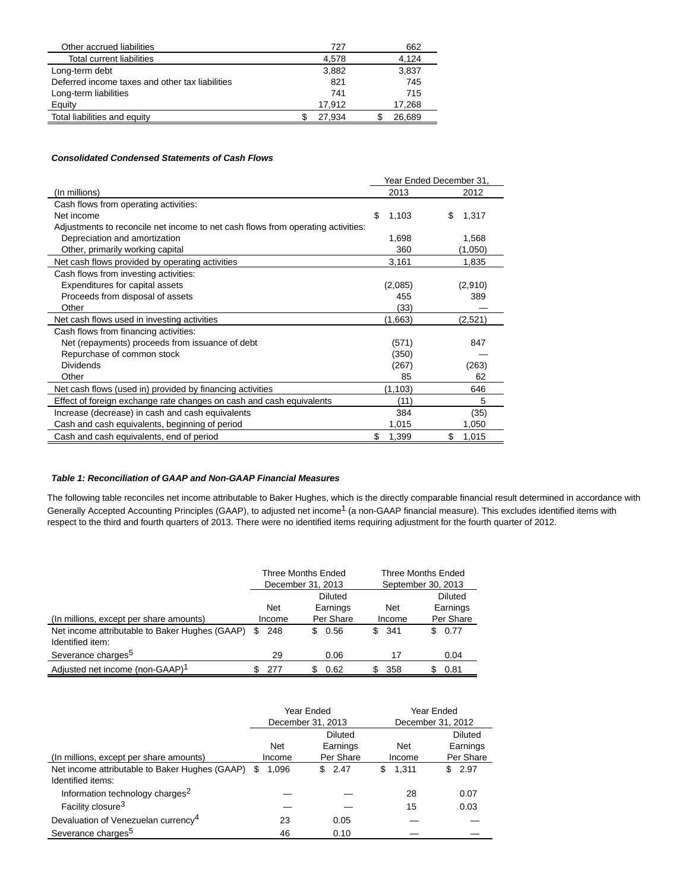| Other accrued liabilities                       | 727    | 662    |
|-------------------------------------------------|--------|--------|
| Total current liabilities                       | 4.578  | 4.124  |
| Long-term debt                                  | 3,882  | 3,837  |
| Deferred income taxes and other tax liabilities | 821    | 745    |
| Long-term liabilities                           | 741    | 715    |
| Equity                                          | 17,912 | 17,268 |
| Total liabilities and equity                    | 27.934 | 26,689 |

### **Consolidated Condensed Statements of Cash Flows**

|                                                                                  | Year Ended December 31, |             |  |  |  |
|----------------------------------------------------------------------------------|-------------------------|-------------|--|--|--|
| (In millions)                                                                    | 2013                    | 2012        |  |  |  |
| Cash flows from operating activities:                                            |                         |             |  |  |  |
| Net income                                                                       | \$<br>1,103             | 1,317<br>\$ |  |  |  |
| Adjustments to reconcile net income to net cash flows from operating activities: |                         |             |  |  |  |
| Depreciation and amortization                                                    | 1,698                   | 1,568       |  |  |  |
| Other, primarily working capital                                                 | 360                     | (1,050)     |  |  |  |
| Net cash flows provided by operating activities                                  | 3,161                   | 1,835       |  |  |  |
| Cash flows from investing activities:                                            |                         |             |  |  |  |
| Expenditures for capital assets                                                  | (2,085)                 | (2,910)     |  |  |  |
| Proceeds from disposal of assets                                                 | 455                     | 389         |  |  |  |
| Other                                                                            | (33)                    |             |  |  |  |
| Net cash flows used in investing activities                                      | (1,663)                 | (2,521)     |  |  |  |
| Cash flows from financing activities:                                            |                         |             |  |  |  |
| Net (repayments) proceeds from issuance of debt                                  | (571)                   | 847         |  |  |  |
| Repurchase of common stock                                                       | (350)                   |             |  |  |  |
| <b>Dividends</b>                                                                 | (267)                   | (263)       |  |  |  |
| Other                                                                            | 85                      | 62          |  |  |  |
| Net cash flows (used in) provided by financing activities                        | (1, 103)                | 646         |  |  |  |
| Effect of foreign exchange rate changes on cash and cash equivalents             | (11)                    | 5           |  |  |  |
| Increase (decrease) in cash and cash equivalents                                 | 384                     | (35)        |  |  |  |
| Cash and cash equivalents, beginning of period                                   | 1,015                   | 1,050       |  |  |  |
| Cash and cash equivalents, end of period                                         | 1,399<br>S              | \$<br>1,015 |  |  |  |

### **Table 1: Reconciliation of GAAP and Non-GAAP Financial Measures**

The following table reconciles net income attributable to Baker Hughes, which is the directly comparable financial result determined in accordance with Generally Accepted Accounting Principles (GAAP), to adjusted net income<sup>1</sup> (a non-GAAP financial measure). This excludes identified items with respect to the third and fourth quarters of 2013. There were no identified items requiring adjustment for the fourth quarter of 2012.

|                                                |            | <b>Three Months Ended</b> |            | Three Months Ended |
|------------------------------------------------|------------|---------------------------|------------|--------------------|
|                                                |            | December 31, 2013         |            | September 30, 2013 |
|                                                |            | <b>Diluted</b>            |            | <b>Diluted</b>     |
|                                                | <b>Net</b> | Earnings                  | <b>Net</b> | Earnings           |
| (In millions, except per share amounts)        | Income     | Per Share                 | Income     | Per Share          |
| Net income attributable to Baker Hughes (GAAP) | 248<br>\$  | 0.56<br>\$                | \$341      | 0.77<br>SS.        |
| Identified item:                               |            |                           |            |                    |
| Severance charges <sup>5</sup>                 | 29         | 0.06                      | 17         | 0.04               |
| Adjusted net income (non-GAAP) <sup>1</sup>    | 277        | 0.62<br>S                 | 358        | 0.81               |

|                                                 | Year Ended             |           | Year Ended        |                |
|-------------------------------------------------|------------------------|-----------|-------------------|----------------|
|                                                 | December 31, 2013      |           | December 31, 2012 |                |
|                                                 |                        | Diluted   |                   | <b>Diluted</b> |
|                                                 | <b>Net</b><br>Earnings |           | Net               | Earnings       |
| (In millions, except per share amounts)         | Income                 | Per Share | Income            | Per Share      |
| Net income attributable to Baker Hughes (GAAP)  | 1,096<br>S             | \$2.47    | 1,311<br>\$       | \$2.97         |
| Identified items:                               |                        |           |                   |                |
| Information technology charges <sup>2</sup>     |                        |           | 28                | 0.07           |
| Facility closure <sup>3</sup>                   |                        |           | 15                | 0.03           |
| Devaluation of Venezuelan currency <sup>4</sup> | 23                     | 0.05      |                   |                |
| Severance charges <sup>5</sup>                  | 46                     | 0.10      |                   |                |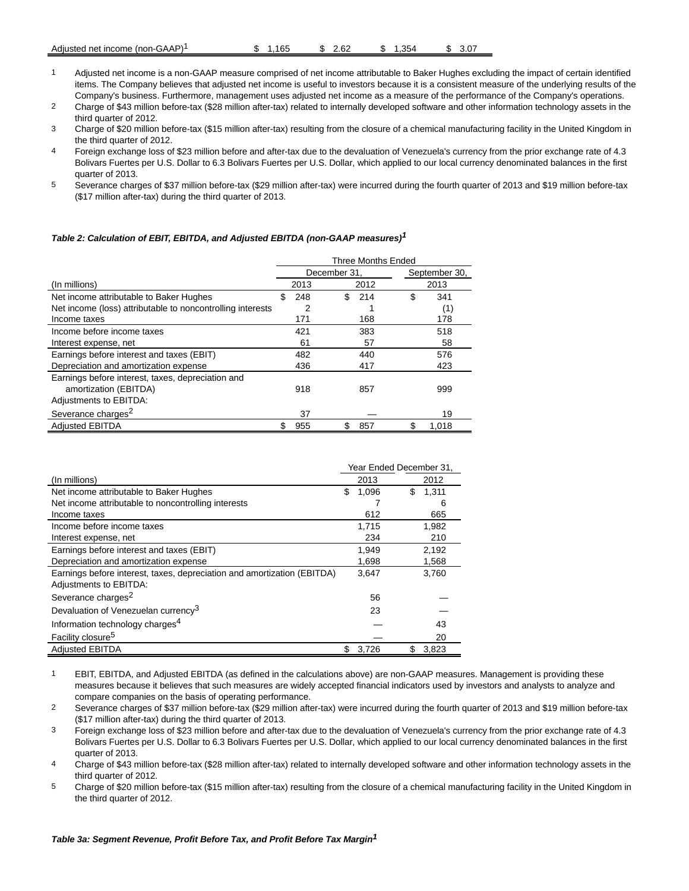- 1 Adjusted net income is a non-GAAP measure comprised of net income attributable to Baker Hughes excluding the impact of certain identified items. The Company believes that adjusted net income is useful to investors because it is a consistent measure of the underlying results of the Company's business. Furthermore, management uses adjusted net income as a measure of the performance of the Company's operations.
- 2 Charge of \$43 million before-tax (\$28 million after-tax) related to internally developed software and other information technology assets in the third quarter of 2012.
- 3 Charge of \$20 million before-tax (\$15 million after-tax) resulting from the closure of a chemical manufacturing facility in the United Kingdom in the third quarter of 2012.
- 4 Foreign exchange loss of \$23 million before and after-tax due to the devaluation of Venezuela's currency from the prior exchange rate of 4.3 Bolivars Fuertes per U.S. Dollar to 6.3 Bolivars Fuertes per U.S. Dollar, which applied to our local currency denominated balances in the first quarter of 2013.
- 5 Severance charges of \$37 million before-tax (\$29 million after-tax) were incurred during the fourth quarter of 2013 and \$19 million before-tax (\$17 million after-tax) during the third quarter of 2013.

### **Table 2: Calculation of EBIT, EBITDA, and Adjusted EBITDA (non-GAAP measures)1**

|                                                            | <b>Three Months Ended</b> |      |    |      |               |    |       |  |  |  |  |  |  |  |  |  |  |  |  |  |      |
|------------------------------------------------------------|---------------------------|------|----|------|---------------|----|-------|--|--|--|--|--|--|--|--|--|--|--|--|--|------|
|                                                            | December 31.              |      |    |      | September 30, |    |       |  |  |  |  |  |  |  |  |  |  |  |  |  |      |
| (In millions)                                              |                           | 2013 |    | 2012 |               |    |       |  |  |  |  |  |  |  |  |  |  |  |  |  | 2013 |
| Net income attributable to Baker Hughes                    | \$                        | 248  | \$ | 214  |               | \$ | 341   |  |  |  |  |  |  |  |  |  |  |  |  |  |      |
| Net income (loss) attributable to noncontrolling interests |                           | 2    |    |      |               |    | (1)   |  |  |  |  |  |  |  |  |  |  |  |  |  |      |
| Income taxes                                               |                           | 171  |    | 168  |               |    | 178   |  |  |  |  |  |  |  |  |  |  |  |  |  |      |
| Income before income taxes                                 |                           | 421  |    | 383  |               |    | 518   |  |  |  |  |  |  |  |  |  |  |  |  |  |      |
| Interest expense, net                                      |                           | 61   |    | 57   |               |    | 58    |  |  |  |  |  |  |  |  |  |  |  |  |  |      |
| Earnings before interest and taxes (EBIT)                  |                           | 482  |    | 440  |               |    | 576   |  |  |  |  |  |  |  |  |  |  |  |  |  |      |
| Depreciation and amortization expense                      |                           | 436  |    | 417  |               |    | 423   |  |  |  |  |  |  |  |  |  |  |  |  |  |      |
| Earnings before interest, taxes, depreciation and          |                           |      |    |      |               |    |       |  |  |  |  |  |  |  |  |  |  |  |  |  |      |
| amortization (EBITDA)                                      |                           | 918  |    | 857  |               |    | 999   |  |  |  |  |  |  |  |  |  |  |  |  |  |      |
| Adjustments to EBITDA:                                     |                           |      |    |      |               |    |       |  |  |  |  |  |  |  |  |  |  |  |  |  |      |
| Severance charges <sup>2</sup>                             |                           | 37   |    |      |               |    | 19    |  |  |  |  |  |  |  |  |  |  |  |  |  |      |
| <b>Adiusted EBITDA</b>                                     |                           | 955  |    | 857  |               | \$ | 1,018 |  |  |  |  |  |  |  |  |  |  |  |  |  |      |

|                                                                                                   | Year Ended December 31, |       |    |       |  |
|---------------------------------------------------------------------------------------------------|-------------------------|-------|----|-------|--|
| (In millions)                                                                                     |                         | 2013  |    | 2012  |  |
| Net income attributable to Baker Hughes                                                           | \$                      | 1.096 | \$ | 1.311 |  |
| Net income attributable to noncontrolling interests                                               |                         |       |    | 6     |  |
| Income taxes                                                                                      |                         | 612   |    | 665   |  |
| Income before income taxes                                                                        |                         | 1.715 |    | 1,982 |  |
| Interest expense, net                                                                             |                         | 234   |    | 210   |  |
| Earnings before interest and taxes (EBIT)                                                         |                         | 1.949 |    | 2,192 |  |
| Depreciation and amortization expense                                                             |                         | 1,698 |    | 1,568 |  |
| Earnings before interest, taxes, depreciation and amortization (EBITDA)<br>Adjustments to EBITDA: |                         | 3,647 |    | 3,760 |  |
|                                                                                                   |                         |       |    |       |  |
| Severance charges <sup>2</sup>                                                                    |                         | 56    |    |       |  |
| Devaluation of Venezuelan currency <sup>3</sup>                                                   |                         | 23    |    |       |  |
| Information technology charges <sup>4</sup>                                                       |                         |       |    | 43    |  |
| Facility closure <sup>5</sup>                                                                     |                         |       |    | 20    |  |
| <b>Adjusted EBITDA</b>                                                                            |                         | 3,726 |    | 3,823 |  |

- 1 EBIT, EBITDA, and Adjusted EBITDA (as defined in the calculations above) are non-GAAP measures. Management is providing these measures because it believes that such measures are widely accepted financial indicators used by investors and analysts to analyze and compare companies on the basis of operating performance.
- 2 Severance charges of \$37 million before-tax (\$29 million after-tax) were incurred during the fourth quarter of 2013 and \$19 million before-tax (\$17 million after-tax) during the third quarter of 2013.
- 3 Foreign exchange loss of \$23 million before and after-tax due to the devaluation of Venezuela's currency from the prior exchange rate of 4.3 Bolivars Fuertes per U.S. Dollar to 6.3 Bolivars Fuertes per U.S. Dollar, which applied to our local currency denominated balances in the first quarter of 2013.
- 4 Charge of \$43 million before-tax (\$28 million after-tax) related to internally developed software and other information technology assets in the third quarter of 2012.
- 5 Charge of \$20 million before-tax (\$15 million after-tax) resulting from the closure of a chemical manufacturing facility in the United Kingdom in the third quarter of 2012.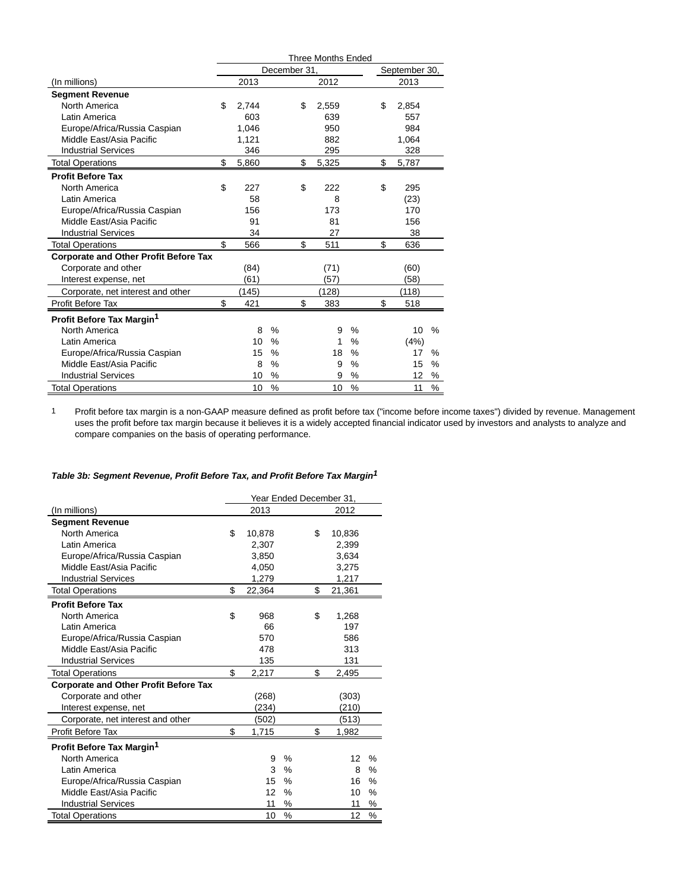|                                              | Three Months Ended |       |      |    |       |               |    |               |      |
|----------------------------------------------|--------------------|-------|------|----|-------|---------------|----|---------------|------|
|                                              | December 31,       |       |      |    |       |               |    | September 30, |      |
| (In millions)                                |                    | 2013  |      |    | 2012  |               |    | 2013          |      |
| <b>Segment Revenue</b>                       |                    |       |      |    |       |               |    |               |      |
| North America                                | \$                 | 2.744 |      | \$ | 2,559 |               | \$ | 2.854         |      |
| Latin America                                |                    | 603   |      |    | 639   |               |    | 557           |      |
| Europe/Africa/Russia Caspian                 |                    | 1,046 |      |    | 950   |               |    | 984           |      |
| Middle East/Asia Pacific                     |                    | 1,121 |      |    | 882   |               |    | 1,064         |      |
| <b>Industrial Services</b>                   |                    | 346   |      |    | 295   |               |    | 328           |      |
| <b>Total Operations</b>                      | \$                 | 5,860 |      | \$ | 5,325 |               | \$ | 5,787         |      |
| <b>Profit Before Tax</b>                     |                    |       |      |    |       |               |    |               |      |
| North America                                | \$                 | 227   |      | \$ | 222   |               | \$ | 295           |      |
| Latin America                                |                    | 58    |      |    | 8     |               |    | (23)          |      |
| Europe/Africa/Russia Caspian                 |                    | 156   |      |    | 173   |               |    | 170           |      |
| Middle East/Asia Pacific                     |                    | 91    |      |    | 81    |               |    | 156           |      |
| <b>Industrial Services</b>                   |                    | 34    |      |    | 27    |               |    | 38            |      |
| <b>Total Operations</b>                      | \$                 | 566   |      | \$ | 511   |               | \$ | 636           |      |
| <b>Corporate and Other Profit Before Tax</b> |                    |       |      |    |       |               |    |               |      |
| Corporate and other                          |                    | (84)  |      |    | (71)  |               |    | (60)          |      |
| Interest expense, net                        |                    | (61)  |      |    | (57)  |               |    | (58)          |      |
| Corporate, net interest and other            |                    | (145) |      |    | (128) |               |    | (118)         |      |
| Profit Before Tax                            | \$                 | 421   |      | \$ | 383   |               | \$ | 518           |      |
| Profit Before Tax Margin <sup>1</sup>        |                    |       |      |    |       |               |    |               |      |
| North America                                |                    | 8     | %    |    | 9     | %             |    | 10            | $\%$ |
| Latin America                                |                    | 10    | $\%$ |    | 1     | %             |    | (4%)          |      |
| Europe/Africa/Russia Caspian                 |                    | 15    | $\%$ |    | 18    | $\frac{0}{0}$ |    | 17            | $\%$ |
| Middle East/Asia Pacific                     |                    | 8     | %    |    | 9     | %             |    | 15            | %    |
| <b>Industrial Services</b>                   |                    | 10    | %    |    | 9     | %             |    | 12            | %    |
| <b>Total Operations</b>                      |                    | 10    | %    |    | 10    | %             |    | 11            | $\%$ |

1 Profit before tax margin is a non-GAAP measure defined as profit before tax ("income before income taxes") divided by revenue. Management uses the profit before tax margin because it believes it is a widely accepted financial indicator used by investors and analysts to analyze and compare companies on the basis of operating performance.

## **Table 3b: Segment Revenue, Profit Before Tax, and Profit Before Tax Margin1**

|                                              | Year Ended December 31, |        |      |    |        |   |  |
|----------------------------------------------|-------------------------|--------|------|----|--------|---|--|
| (In millions)                                | 2012<br>2013            |        |      |    |        |   |  |
| <b>Segment Revenue</b>                       |                         |        |      |    |        |   |  |
| North America                                | \$                      | 10,878 |      | \$ | 10,836 |   |  |
| I atin America                               |                         | 2,307  |      |    | 2,399  |   |  |
| Europe/Africa/Russia Caspian                 |                         | 3,850  |      |    | 3,634  |   |  |
| Middle East/Asia Pacific                     |                         | 4,050  |      |    | 3,275  |   |  |
| <b>Industrial Services</b>                   |                         | 1,279  |      |    | 1,217  |   |  |
| <b>Total Operations</b>                      | \$                      | 22,364 |      | \$ | 21,361 |   |  |
| <b>Profit Before Tax</b>                     |                         |        |      |    |        |   |  |
| North America                                | \$                      | 968    |      | \$ | 1,268  |   |  |
| Latin America                                |                         | 66     |      |    | 197    |   |  |
| Europe/Africa/Russia Caspian                 |                         | 570    |      |    | 586    |   |  |
| Middle East/Asia Pacific                     |                         | 478    |      |    | 313    |   |  |
| <b>Industrial Services</b>                   |                         | 135    |      |    | 131    |   |  |
| <b>Total Operations</b>                      | \$                      | 2,217  |      | \$ | 2,495  |   |  |
| <b>Corporate and Other Profit Before Tax</b> |                         |        |      |    |        |   |  |
| Corporate and other                          |                         | (268)  |      |    | (303)  |   |  |
| Interest expense, net                        |                         | (234)  |      |    | (210)  |   |  |
| Corporate, net interest and other            |                         | (502)  |      |    | (513)  |   |  |
| Profit Before Tax                            | \$                      | 1,715  |      | \$ | 1,982  |   |  |
| Profit Before Tax Margin <sup>1</sup>        |                         |        |      |    |        |   |  |
| North America                                |                         | 9      | %    |    | 12     | % |  |
| Latin America                                |                         | 3      | $\%$ |    | 8      | ℅ |  |
| Europe/Africa/Russia Caspian                 |                         | 15     | $\%$ |    | 16     | ℅ |  |
| Middle East/Asia Pacific                     |                         | 12     | %    |    | 10     | ℅ |  |
| <b>Industrial Services</b>                   |                         | 11     | %    |    | 11     | % |  |
| <b>Total Operations</b>                      |                         | 10     | %    |    | 12     | % |  |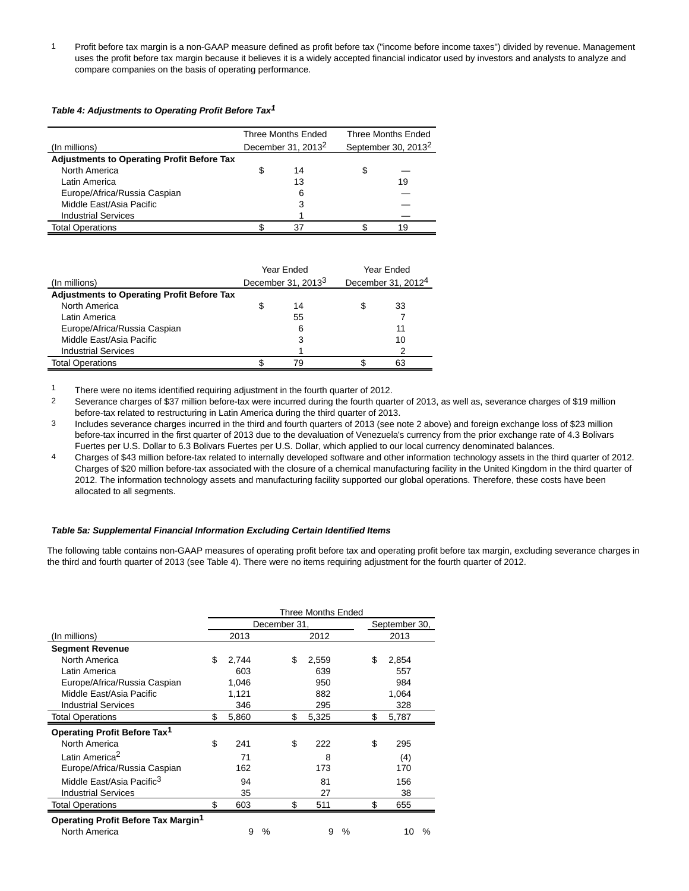1 Profit before tax margin is a non-GAAP measure defined as profit before tax ("income before income taxes") divided by revenue. Management uses the profit before tax margin because it believes it is a widely accepted financial indicator used by investors and analysts to analyze and compare companies on the basis of operating performance.

### **Table 4: Adjustments to Operating Profit Before Tax1**

|                                                   |                      | Three Months Ended | <b>Three Months Ended</b> |                        |  |
|---------------------------------------------------|----------------------|--------------------|---------------------------|------------------------|--|
| (In millions)                                     | December 31, $20132$ |                    |                           | September 30, $2013^2$ |  |
| <b>Adjustments to Operating Profit Before Tax</b> |                      |                    |                           |                        |  |
| North America                                     | S                    | 14                 |                           |                        |  |
| Latin America                                     |                      | 13                 |                           | 19                     |  |
| Europe/Africa/Russia Caspian                      |                      | 6                  |                           |                        |  |
| Middle East/Asia Pacific                          |                      | 3                  |                           |                        |  |
| <b>Industrial Services</b>                        |                      |                    |                           |                        |  |
| <b>Total Operations</b>                           |                      | 37                 |                           | 19                     |  |

| (In millions)                                     |   | Year Ended<br>December 31, $20133$ | Year Ended<br>December 31, 2012 <sup>4</sup> |    |  |
|---------------------------------------------------|---|------------------------------------|----------------------------------------------|----|--|
| <b>Adjustments to Operating Profit Before Tax</b> |   |                                    |                                              |    |  |
| North America                                     | S | 14                                 |                                              | 33 |  |
| Latin America                                     |   | 55                                 |                                              |    |  |
| Europe/Africa/Russia Caspian                      |   | 6                                  |                                              | 11 |  |
| Middle East/Asia Pacific                          |   | 3                                  |                                              | 10 |  |
| <b>Industrial Services</b>                        |   |                                    |                                              |    |  |
| <b>Total Operations</b>                           |   | 79                                 |                                              | 63 |  |

1 There were no items identified requiring adjustment in the fourth quarter of 2012.<br>2 Severance charges of \$37 million before-tax were incurred during the fourth quart

- Severance charges of \$37 million before-tax were incurred during the fourth quarter of 2013, as well as, severance charges of \$19 million before-tax related to restructuring in Latin America during the third quarter of 2013.
- 3 Includes severance charges incurred in the third and fourth quarters of 2013 (see note 2 above) and foreign exchange loss of \$23 million before-tax incurred in the first quarter of 2013 due to the devaluation of Venezuela's currency from the prior exchange rate of 4.3 Bolivars Fuertes per U.S. Dollar to 6.3 Bolivars Fuertes per U.S. Dollar, which applied to our local currency denominated balances.
- 4 Charges of \$43 million before-tax related to internally developed software and other information technology assets in the third quarter of 2012. Charges of \$20 million before-tax associated with the closure of a chemical manufacturing facility in the United Kingdom in the third quarter of 2012. The information technology assets and manufacturing facility supported our global operations. Therefore, these costs have been allocated to all segments.

### **Table 5a: Supplemental Financial Information Excluding Certain Identified Items**

The following table contains non-GAAP measures of operating profit before tax and operating profit before tax margin, excluding severance charges in the third and fourth quarter of 2013 (see Table 4). There were no items requiring adjustment for the fourth quarter of 2012.

|                                                 | Three Months Ended |       |    |       |    |               |       |   |
|-------------------------------------------------|--------------------|-------|----|-------|----|---------------|-------|---|
|                                                 | December 31,       |       |    |       |    | September 30, |       |   |
| (In millions)                                   |                    | 2013  |    | 2012  |    |               | 2013  |   |
| <b>Segment Revenue</b>                          |                    |       |    |       |    |               |       |   |
| North America                                   | \$                 | 2,744 | \$ | 2,559 |    | \$            | 2,854 |   |
| Latin America                                   |                    | 603   |    | 639   |    |               | 557   |   |
| Europe/Africa/Russia Caspian                    |                    | 1,046 |    | 950   |    |               | 984   |   |
| Middle East/Asia Pacific                        |                    | 1,121 |    | 882   |    |               | 1,064 |   |
| <b>Industrial Services</b>                      |                    | 346   |    | 295   |    |               | 328   |   |
| <b>Total Operations</b>                         | \$                 | 5,860 | \$ | 5,325 |    | \$            | 5,787 |   |
| Operating Profit Before Tax <sup>1</sup>        |                    |       |    |       |    |               |       |   |
| North America                                   | \$                 | 241   | \$ | 222   | \$ |               | 295   |   |
| Latin America <sup>2</sup>                      |                    | 71    |    | 8     |    |               | (4)   |   |
| Europe/Africa/Russia Caspian                    |                    | 162   |    | 173   |    |               | 170   |   |
| Middle East/Asia Pacific <sup>3</sup>           |                    | 94    |    | 81    |    |               | 156   |   |
| <b>Industrial Services</b>                      |                    | 35    |    | 27    |    |               | 38    |   |
| <b>Total Operations</b>                         | \$                 | 603   | \$ | 511   |    | \$            | 655   |   |
| Operating Profit Before Tax Margin <sup>1</sup> |                    |       |    |       |    |               |       |   |
| North America                                   |                    | 9     | %  | 9     | %  |               | 10    | % |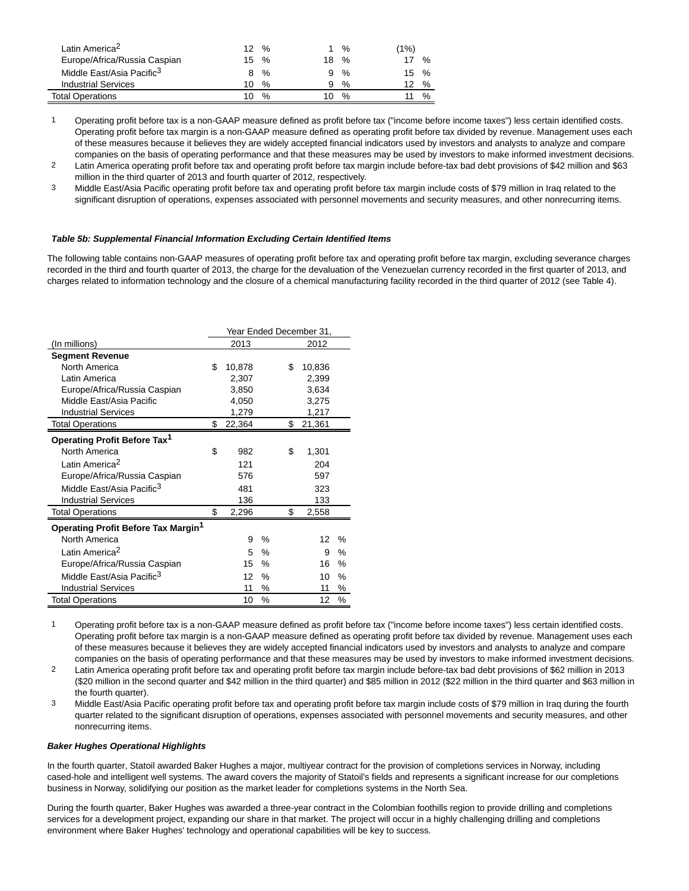| Latin America <sup>2</sup>            | 12 % |     |    | %             | (1% |      |
|---------------------------------------|------|-----|----|---------------|-----|------|
| Europe/Africa/Russia Caspian          | 15 % |     | 18 | %             |     | $\%$ |
| Middle East/Asia Pacific <sup>3</sup> |      | 8 % | 9  | %             |     | 15 % |
| <b>Industrial Services</b>            | 10.  | %   | 9  | $\frac{0}{0}$ |     | %    |
| <b>Total Operations</b>               | 10   | %   | 10 | %             |     | $\%$ |

j.

1 Operating profit before tax is a non-GAAP measure defined as profit before tax ("income before income taxes") less certain identified costs. Operating profit before tax margin is a non-GAAP measure defined as operating profit before tax divided by revenue. Management uses each of these measures because it believes they are widely accepted financial indicators used by investors and analysts to analyze and compare companies on the basis of operating performance and that these measures may be used by investors to make informed investment decisions.

2 Latin America operating profit before tax and operating profit before tax margin include before-tax bad debt provisions of \$42 million and \$63 million in the third quarter of 2013 and fourth quarter of 2012, respectively.

3 Middle East/Asia Pacific operating profit before tax and operating profit before tax margin include costs of \$79 million in Iraq related to the significant disruption of operations, expenses associated with personnel movements and security measures, and other nonrecurring items.

#### **Table 5b: Supplemental Financial Information Excluding Certain Identified Items**

The following table contains non-GAAP measures of operating profit before tax and operating profit before tax margin, excluding severance charges recorded in the third and fourth quarter of 2013, the charge for the devaluation of the Venezuelan currency recorded in the first quarter of 2013, and charges related to information technology and the closure of a chemical manufacturing facility recorded in the third quarter of 2012 (see Table 4).

|                                                 | Year Ended December 31, |                |               |    |        |      |  |
|-------------------------------------------------|-------------------------|----------------|---------------|----|--------|------|--|
| (In millions)                                   | 2013<br>2012            |                |               |    |        |      |  |
| <b>Segment Revenue</b>                          |                         |                |               |    |        |      |  |
| North America                                   | \$                      | 10,878         |               | \$ | 10,836 |      |  |
| Latin America                                   | 2,307<br>2,399          |                |               |    |        |      |  |
| Europe/Africa/Russia Caspian                    | 3,634<br>3,850          |                |               |    |        |      |  |
| Middle East/Asia Pacific                        |                         | 3,275<br>4,050 |               |    |        |      |  |
| <b>Industrial Services</b>                      |                         | 1,279          |               |    | 1,217  |      |  |
| <b>Total Operations</b>                         | \$                      | 22,364         |               | \$ | 21,361 |      |  |
| Operating Profit Before Tax <sup>1</sup>        |                         |                |               |    |        |      |  |
| North America                                   | \$                      | 982            |               | \$ | 1,301  |      |  |
| Latin America <sup>2</sup>                      |                         | 121            |               |    | 204    |      |  |
| Europe/Africa/Russia Caspian                    |                         | 576            |               |    | 597    |      |  |
| Middle East/Asia Pacific <sup>3</sup>           |                         | 481            |               |    | 323    |      |  |
| <b>Industrial Services</b>                      |                         | 136            |               |    | 133    |      |  |
| <b>Total Operations</b>                         | \$                      | 2,296          |               | \$ | 2,558  |      |  |
| Operating Profit Before Tax Margin <sup>1</sup> |                         |                |               |    |        |      |  |
| North America                                   |                         | 9              | $\frac{0}{0}$ |    | 12     | $\%$ |  |
| Latin America <sup>2</sup>                      |                         | 5              | $\frac{0}{0}$ |    | 9      | $\%$ |  |
| Europe/Africa/Russia Caspian                    |                         | 15             | %             |    | 16     | $\%$ |  |
| Middle East/Asia Pacific <sup>3</sup>           |                         | 12             | $\frac{0}{0}$ |    | 10     | %    |  |
| <b>Industrial Services</b>                      |                         | 11             | %             |    | 11     | %    |  |
| <b>Total Operations</b>                         |                         | 10             | %             |    | 12     | %    |  |

1 Operating profit before tax is a non-GAAP measure defined as profit before tax ("income before income taxes") less certain identified costs. Operating profit before tax margin is a non-GAAP measure defined as operating profit before tax divided by revenue. Management uses each of these measures because it believes they are widely accepted financial indicators used by investors and analysts to analyze and compare companies on the basis of operating performance and that these measures may be used by investors to make informed investment decisions.

2 Latin America operating profit before tax and operating profit before tax margin include before-tax bad debt provisions of \$62 million in 2013 (\$20 million in the second quarter and \$42 million in the third quarter) and \$85 million in 2012 (\$22 million in the third quarter and \$63 million in the fourth quarter).

3 Middle East/Asia Pacific operating profit before tax and operating profit before tax margin include costs of \$79 million in Iraq during the fourth quarter related to the significant disruption of operations, expenses associated with personnel movements and security measures, and other nonrecurring items.

### **Baker Hughes Operational Highlights**

In the fourth quarter, Statoil awarded Baker Hughes a major, multiyear contract for the provision of completions services in Norway, including cased-hole and intelligent well systems. The award covers the majority of Statoil's fields and represents a significant increase for our completions business in Norway, solidifying our position as the market leader for completions systems in the North Sea.

During the fourth quarter, Baker Hughes was awarded a three-year contract in the Colombian foothills region to provide drilling and completions services for a development project, expanding our share in that market. The project will occur in a highly challenging drilling and completions environment where Baker Hughes' technology and operational capabilities will be key to success.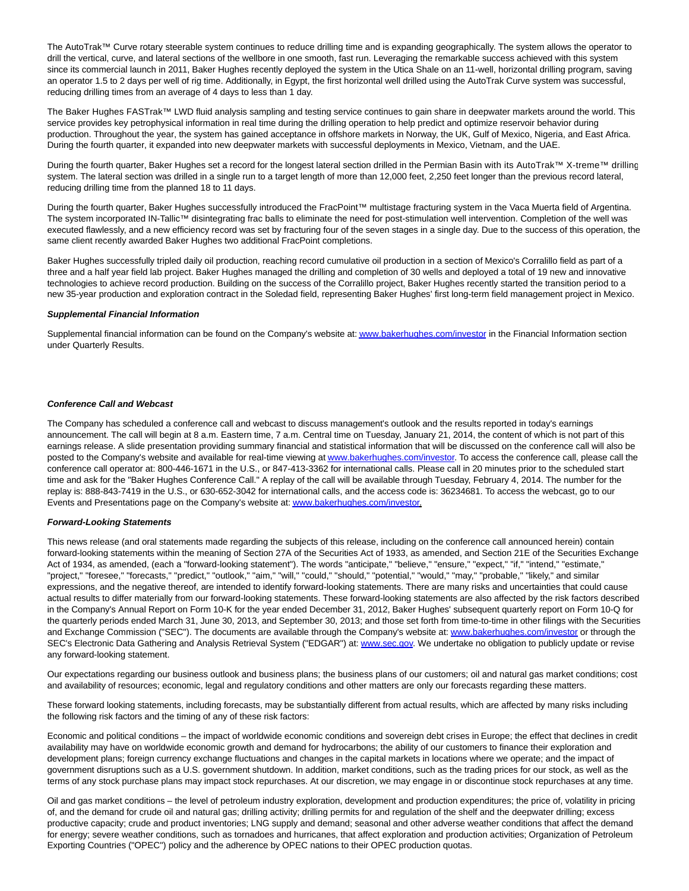The AutoTrak™ Curve rotary steerable system continues to reduce drilling time and is expanding geographically. The system allows the operator to drill the vertical, curve, and lateral sections of the wellbore in one smooth, fast run. Leveraging the remarkable success achieved with this system since its commercial launch in 2011, Baker Hughes recently deployed the system in the Utica Shale on an 11-well, horizontal drilling program, saving an operator 1.5 to 2 days per well of rig time. Additionally, in Egypt, the first horizontal well drilled using the AutoTrak Curve system was successful, reducing drilling times from an average of 4 days to less than 1 day.

The Baker Hughes FASTrak™ LWD fluid analysis sampling and testing service continues to gain share in deepwater markets around the world. This service provides key petrophysical information in real time during the drilling operation to help predict and optimize reservoir behavior during production. Throughout the year, the system has gained acceptance in offshore markets in Norway, the UK, Gulf of Mexico, Nigeria, and East Africa. During the fourth quarter, it expanded into new deepwater markets with successful deployments in Mexico, Vietnam, and the UAE.

During the fourth quarter, Baker Hughes set a record for the longest lateral section drilled in the Permian Basin with its AutoTrak™ X-treme™ drilling system. The lateral section was drilled in a single run to a target length of more than 12,000 feet, 2,250 feet longer than the previous record lateral, reducing drilling time from the planned 18 to 11 days.

During the fourth quarter, Baker Hughes successfully introduced the FracPoint™ multistage fracturing system in the Vaca Muerta field of Argentina. The system incorporated IN-Tallic™ disintegrating frac balls to eliminate the need for post-stimulation well intervention. Completion of the well was executed flawlessly, and a new efficiency record was set by fracturing four of the seven stages in a single day. Due to the success of this operation, the same client recently awarded Baker Hughes two additional FracPoint completions.

Baker Hughes successfully tripled daily oil production, reaching record cumulative oil production in a section of Mexico's Corralillo field as part of a three and a half year field lab project. Baker Hughes managed the drilling and completion of 30 wells and deployed a total of 19 new and innovative technologies to achieve record production. Building on the success of the Corralillo project, Baker Hughes recently started the transition period to a new 35-year production and exploration contract in the Soledad field, representing Baker Hughes' first long-term field management project in Mexico.

### **Supplemental Financial Information**

Supplemental financial information can be found on the Company's website at[: www.bakerhughes.com/investor i](http://www.bakerhughes.com/investor)n the Financial Information section under Quarterly Results.

### **Conference Call and Webcast**

The Company has scheduled a conference call and webcast to discuss management's outlook and the results reported in today's earnings announcement. The call will begin at 8 a.m. Eastern time, 7 a.m. Central time on Tuesday, January 21, 2014, the content of which is not part of this earnings release. A slide presentation providing summary financial and statistical information that will be discussed on the conference call will also be posted to the Company's website and available for real-time viewing a[t www.bakerhughes.com/investor.](http://www.bakerhughes.com/investor) To access the conference call, please call the conference call operator at: 800-446-1671 in the U.S., or 847-413-3362 for international calls. Please call in 20 minutes prior to the scheduled start time and ask for the "Baker Hughes Conference Call." A replay of the call will be available through Tuesday, February 4, 2014. The number for the replay is: 888-843-7419 in the U.S., or 630-652-3042 for international calls, and the access code is: 36234681. To access the webcast, go to our Events and Presentations page on the Company's website at[: www.bakerhughes.com/investor.](http://www.bakerhughes.com/investor)

#### **Forward-Looking Statements**

This news release (and oral statements made regarding the subjects of this release, including on the conference call announced herein) contain forward-looking statements within the meaning of Section 27A of the Securities Act of 1933, as amended, and Section 21E of the Securities Exchange Act of 1934, as amended, (each a "forward-looking statement"). The words "anticipate," "believe," "ensure," "expect," "if," "intend," "estimate," "project," "foresee," "forecasts," "predict," "outlook," "aim," "will," "could," "should," "potential," "would," "may," "probable," "likely," and similar expressions, and the negative thereof, are intended to identify forward-looking statements. There are many risks and uncertainties that could cause actual results to differ materially from our forward-looking statements. These forward-looking statements are also affected by the risk factors described in the Company's Annual Report on Form 10-K for the year ended December 31, 2012, Baker Hughes' subsequent quarterly report on Form 10-Q for the quarterly periods ended March 31, June 30, 2013, and September 30, 2013; and those set forth from time-to-time in other filings with the Securities and Exchange Commission ("SEC"). The documents are available through the Company's website at: [www.bakerhughes.com/investor o](http://www.bakerhughes.com/investor)r through the SEC's Electronic Data Gathering and Analysis Retrieval System ("EDGAR") at: [www.sec.gov.](http://www.sec.gov/) We undertake no obligation to publicly update or revise any forward-looking statement.

Our expectations regarding our business outlook and business plans; the business plans of our customers; oil and natural gas market conditions; cost and availability of resources; economic, legal and regulatory conditions and other matters are only our forecasts regarding these matters.

These forward looking statements, including forecasts, may be substantially different from actual results, which are affected by many risks including the following risk factors and the timing of any of these risk factors:

Economic and political conditions – the impact of worldwide economic conditions and sovereign debt crises in Europe; the effect that declines in credit availability may have on worldwide economic growth and demand for hydrocarbons; the ability of our customers to finance their exploration and development plans; foreign currency exchange fluctuations and changes in the capital markets in locations where we operate; and the impact of government disruptions such as a U.S. government shutdown. In addition, market conditions, such as the trading prices for our stock, as well as the terms of any stock purchase plans may impact stock repurchases. At our discretion, we may engage in or discontinue stock repurchases at any time.

Oil and gas market conditions – the level of petroleum industry exploration, development and production expenditures; the price of, volatility in pricing of, and the demand for crude oil and natural gas; drilling activity; drilling permits for and regulation of the shelf and the deepwater drilling; excess productive capacity; crude and product inventories; LNG supply and demand; seasonal and other adverse weather conditions that affect the demand for energy; severe weather conditions, such as tornadoes and hurricanes, that affect exploration and production activities; Organization of Petroleum Exporting Countries ("OPEC") policy and the adherence by OPEC nations to their OPEC production quotas.